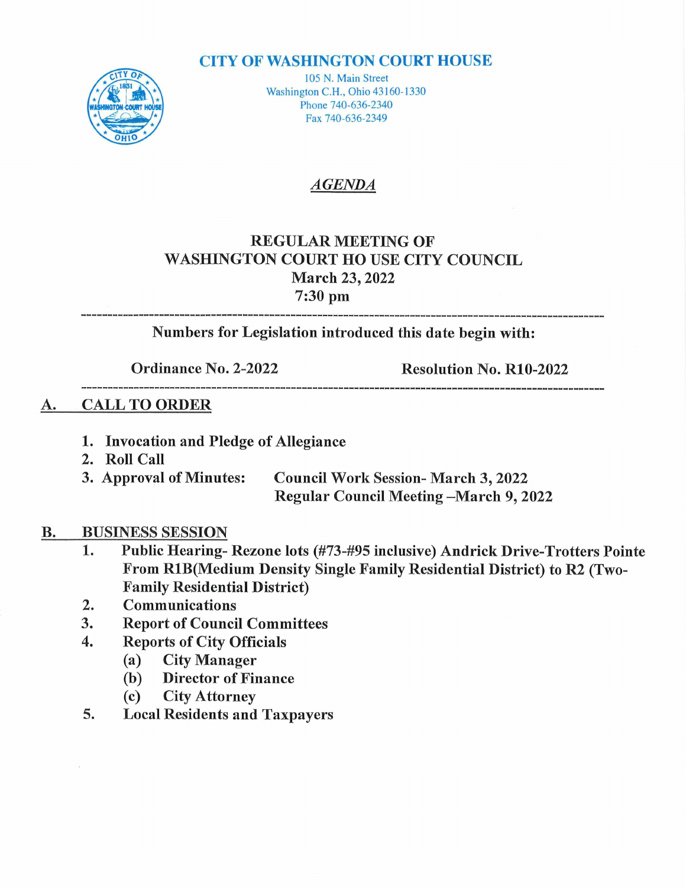#### **CITY OF WASHINGTON COURT HOUSE**



105 N. Main Street Washington C.H., Ohio 43160-1330 Phone 740-636-2340 Fax 740-636-2349

### AGENDA

## REGULAR MEETING OF WASHINGTON COURT HOUSE CITY COUNCIL March 23, 2022 March 2<br>7:30 pm

Numbers for Legislation introduced this date begin with:

Ordinance No. 2-2022 Resolution No. R10-2022

#### A. CALL TO ORDER

- 1. Invocation and Pledge of Allegiance
- 
- 2. Roll Call<br>3. Approval of Minutes: Council Work Session-March 3, 2022 Regular Council Meeting-March 9, 2022

# **B.** BUSINESS SESSION<br>1. Public Hearing-

- Public Hearing- Rezone lots (#73-#95 inclusive) Andrick Drive-Trotters Pointe From R1B(Medium Density Single Family Residential District) to R2 (Two-**Family Residential District)**
- 2. Communications<br>3. Report of Counci
- 3. Report of Council Committees<br>4. Reports of City Officials
- 3. Report of Council Comm<br>4. Reports of City Officials
	- Reports of City Offi<br>(a) City Manager
	- (a) City Manager<br>(b) Director of Finance
	- (c) City Attorney
- 5. Local Residents and Taxpayers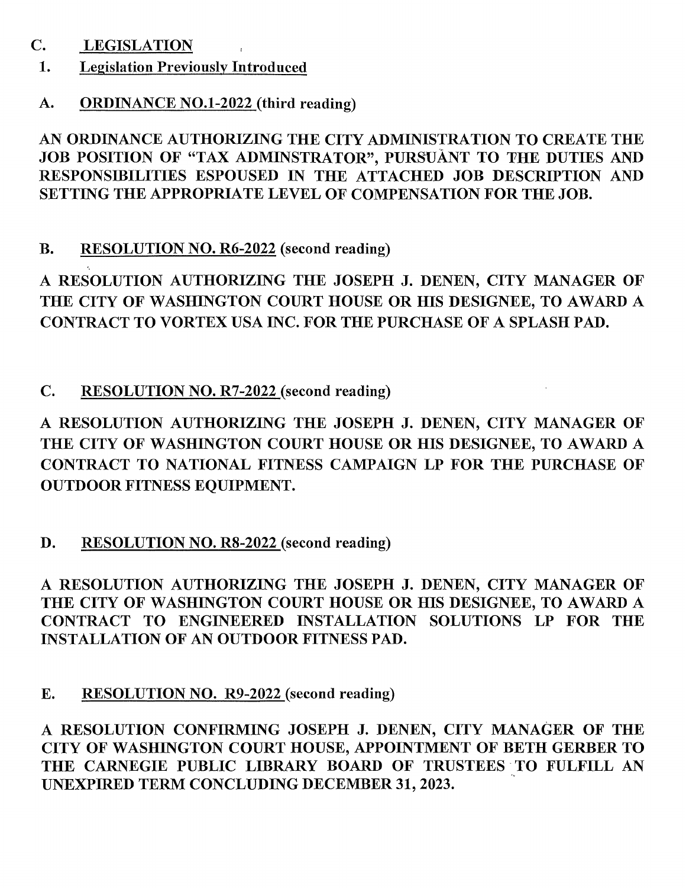#### C. LEGISLATION

#### 1. Legislation Previously Introduced

## A. ORDINANCE NO.1-2022 (third reading)

AN ORDINANCE AUTHORIZING THE CITY ADMINISTRATION TO CREATE THE AN ORDINANCE AUTHORIZING THE CITY ADMINISTRATION TO CREATE THE<br>JOB POSITION OF "TAX ADMINSTRATOR", PURSUANT TO THE DUTIES AND JOB POSITION OF "TAX ADMINSTRATOR", PURSUÀNT TO THE DUTIES AND<br>RESPONSIBILITIES ESPOUSED IN THE ATTACHED JOB DESCRIPTION AND RESPONSIBILITIES ESPOUSED IN THE ATTACHED JOB DESCRIPTION AND SETTING THE APPROPRIATE LEVEL OF COMPENSATION FOR THE JOB.

#### B. RESOLUTION NO. R6-2022 (second reading)

**RESOLUTION NO. R0-2022** (second reading)<br>RESOLUTION AUTHORIZING THE JOSEPH J. DENEN, CITY MANAGER OF A RESOLUTION AUTHORIZING THE JOSEPH J. DENEN, CITY MANAGER O<br>THE CITY OF WASHINGTON COURT HOUSE OR HIS DESIGNEE, TO AWARD THE CITY OF WASHINGTON COURT HOUSE OR HIS DESIGNEE, TO AWARD A<br>CONTRACT TO VORTEX USA INC. FOR THE PURCHASE OF A SPLASH PAD.

C. RESOLUTION NO. R7-2022 (second reading)

**RESOLUTION NO. R/-2022** (second reading)<br>RESOLUTION AUTHORIZING THE JOSEPH J. DENEN, CITY MANAGER OF A RESOLUTION AUTHORIZING THE JOSEPH J. DENEN, CITY MANAGER O<br>THE CITY OF WASHINGTON COURT HOUSE OR HIS DESIGNEE, TO AWARD THE CITY OF WASHINGTON COURT HOUSE OR HIS DESIGNEE, TO AWARD A CONTRACT TO NATIONAL FITNESS CAMPAIGN LP FOR THE PURCHASE OF OUTDOOR FITNESS EQUIPMENT. CONTRACT TO NATIONAL FITNESS CAMPAIGN LP FOR THE PURCHASE OF

D. RESOLUTION NO. R8-2022 (second reading)

RESOLUTION AUTHORIZING THE JOSEPH J. DENEN, CITY MANAGER OF A RESOLUTION AUTHORIZING THE JOSEPH J. DENEN, CITY MANAGER OF THE CITY OF WASHINGTON COURT HOUSE OR HIS DESIGNEE, TO AWARD THE CITY OF WASHINGTON COURT HOUSE OR HIS DESIGNEE, TO AWARD A<br>CONTRACT TO ENGINEERED INSTALLATION SOLUTIONS LP FOR THE CONTRACT TO ENGINEERED INSTALLATION SOLUTIONS LP FOR THE INSTALLATION OF AN OUTDOOR FITNESS PAD.

E. RESOLUTION NO. R9-2022 (second reading)

RESOLUTION CONFIRMING JOSEPH J. DENEN, CITY MANAGER OF THE A RESOLUTION CONFIRMING JOSEPH J. DENEN, CITY MANAGER OF THE CITY OF WASHINGTON COURT HOUSE, APPOINTMENT OF BETH GERBER TO CITY OF WASHINGTON COURT HOUSE, APPOINTMENT OF BETH GERBER TO THE CARNEGIE PUBLIC LIBRARY BOARD OF TRUSTEES TO FULFILL AN UNEXPIRED TERM CONCLUDING DECEMBER 31, 2023. THE CARNEGIE PUBLIC LIBRARY BOARD OF TRUSTEES TO FULFILL AN